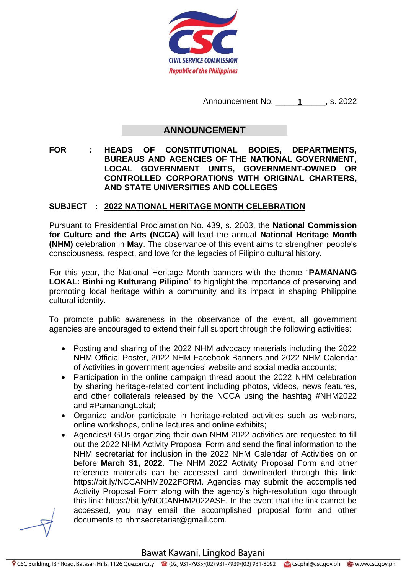

Announcement No. \_\_\_\_\_\_\_\_\_\_\_, s. 2022 **1**

## **ANNOUNCEMENT**

**FOR : HEADS OF CONSTITUTIONAL BODIES, DEPARTMENTS, BUREAUS AND AGENCIES OF THE NATIONAL GOVERNMENT, LOCAL GOVERNMENT UNITS, GOVERNMENT-OWNED OR CONTROLLED CORPORATIONS WITH ORIGINAL CHARTERS, AND STATE UNIVERSITIES AND COLLEGES**

## **SUBJECT : 2022 NATIONAL HERITAGE MONTH CELEBRATION**

Pursuant to Presidential Proclamation No. 439, s. 2003, the **National Commission for Culture and the Arts (NCCA)** will lead the annual **National Heritage Month (NHM)** celebration in **May**. The observance of this event aims to strengthen people's consciousness, respect, and love for the legacies of Filipino cultural history.

For this year, the National Heritage Month banners with the theme "**PAMANANG LOKAL: Binhi ng Kulturang Pilipino**" to highlight the importance of preserving and promoting local heritage within a community and its impact in shaping Philippine cultural identity.

To promote public awareness in the observance of the event, all government agencies are encouraged to extend their full support through the following activities:

- Posting and sharing of the 2022 NHM advocacy materials including the 2022 NHM Official Poster, 2022 NHM Facebook Banners and 2022 NHM Calendar of Activities in government agencies' website and social media accounts;
- Participation in the online campaign thread about the 2022 NHM celebration by sharing heritage-related content including photos, videos, news features, and other collaterals released by the NCCA using the hashtag #NHM2022 and #PamanangLokal;
- Organize and/or participate in heritage-related activities such as webinars, online workshops, online lectures and online exhibits;
- Agencies/LGUs organizing their own NHM 2022 activities are requested to fill out the 2022 NHM Activity Proposal Form and send the final information to the NHM secretariat for inclusion in the 2022 NHM Calendar of Activities on or before **March 31, 2022**. The NHM 2022 Activity Proposal Form and other reference materials can be accessed and downloaded through this link: https://bit.ly/NCCANHM2022FORM. Agencies may submit the accomplished Activity Proposal Form along with the agency's high-resolution logo through this link: https://bit.ly/NCCANHM2022ASF. In the event that the link cannot be accessed, you may email the accomplished proposal form and other documents to nhmsecretariat@gmail.com.